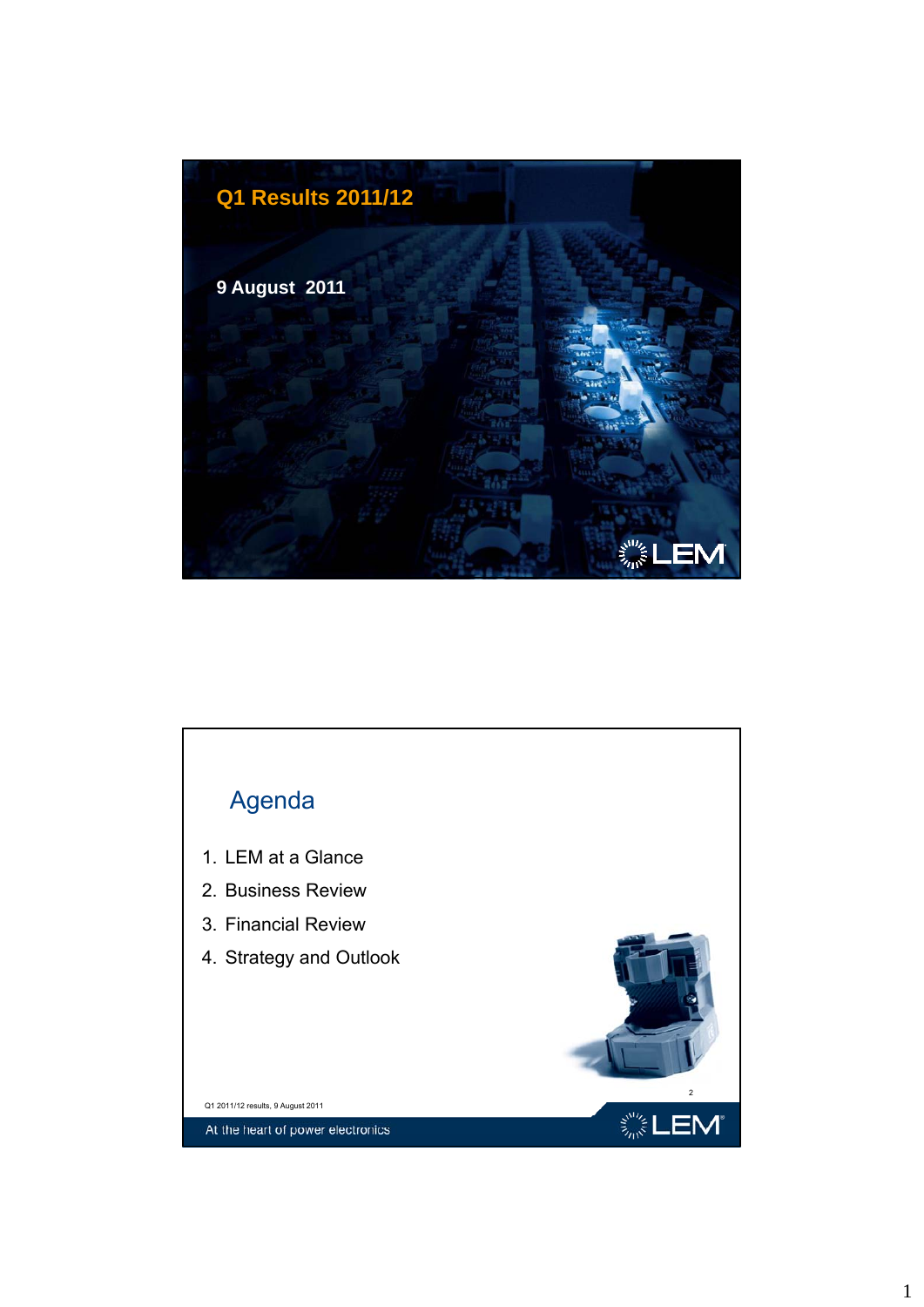

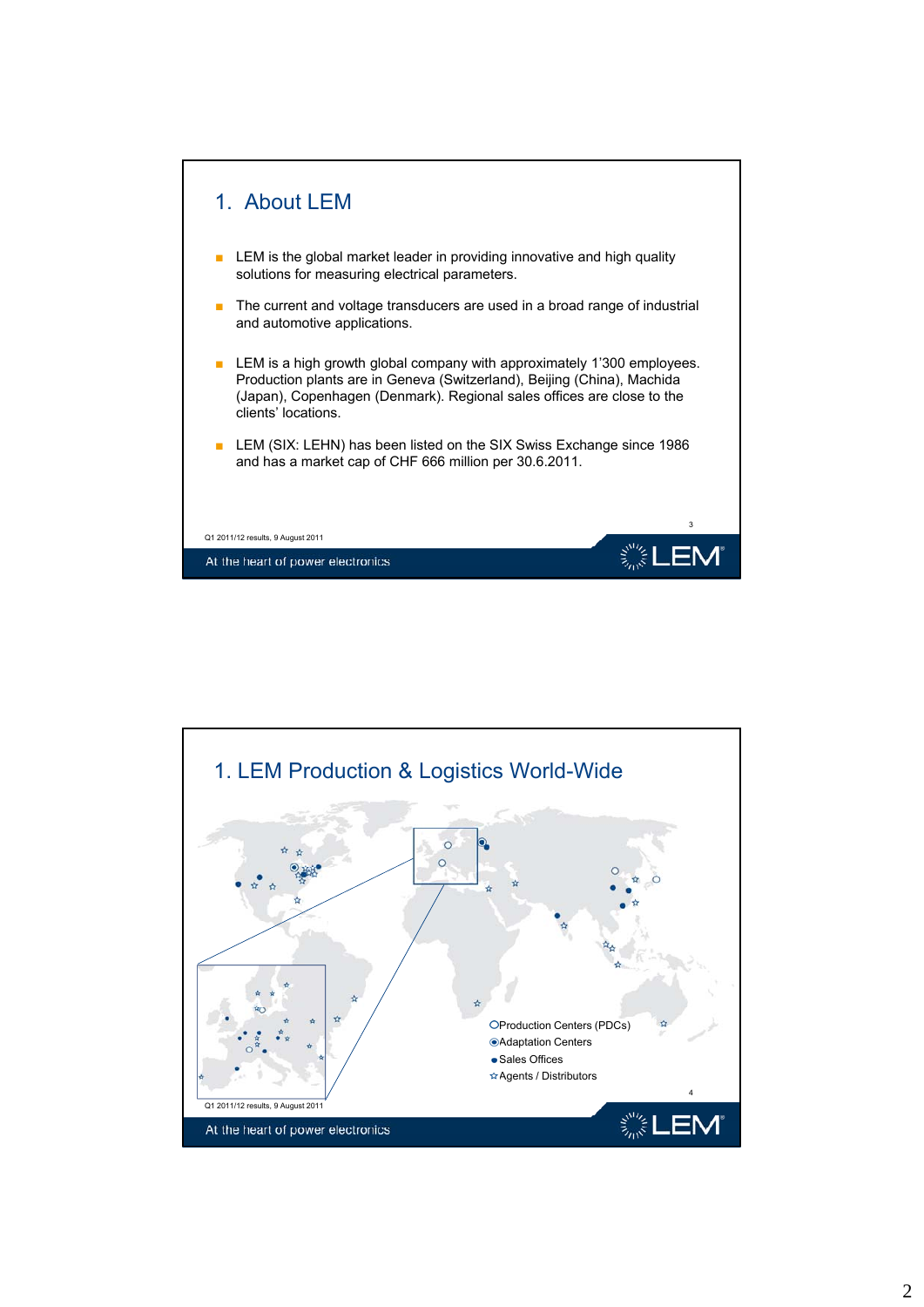

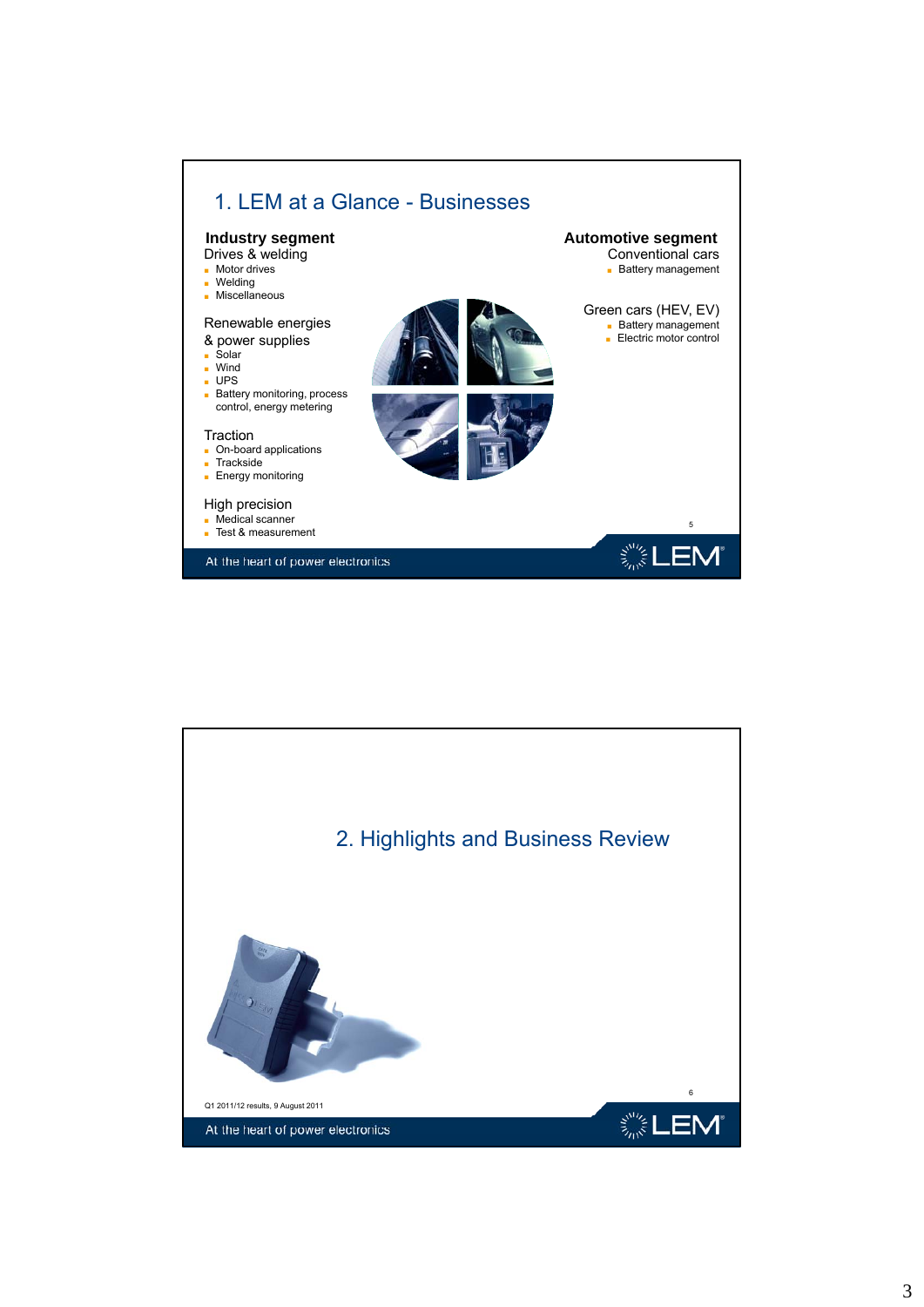

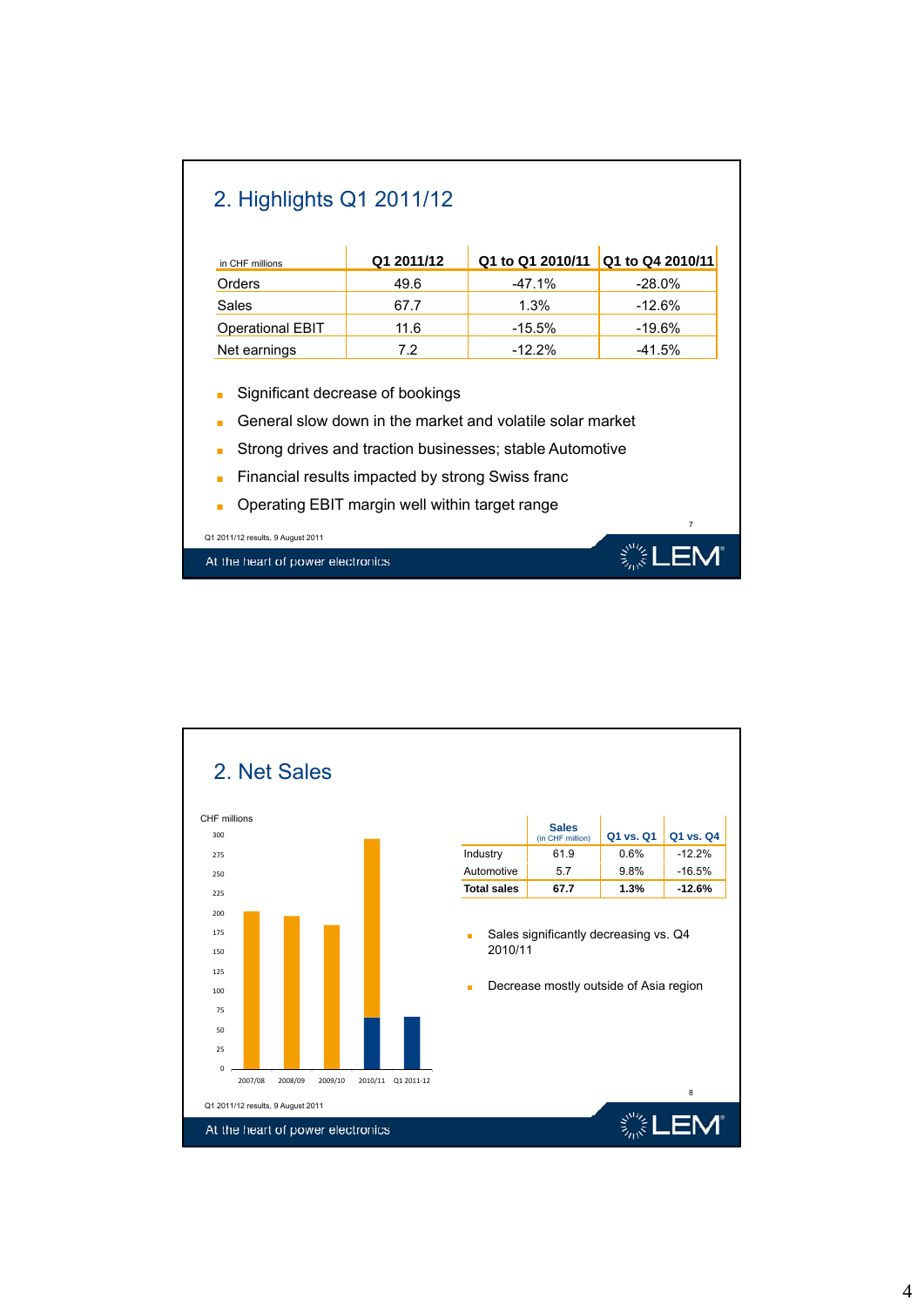| in CHF millions         | Q1 2011/12                       | Q1 to Q1 2010/11 | Q1 to Q4 2010/11 |  |
|-------------------------|----------------------------------|------------------|------------------|--|
| Orders                  | 49.6                             | $-47.1%$         | $-28.0%$         |  |
| Sales                   | 67.7                             | $1.3\%$          | $-12.6\%$        |  |
| <b>Operational EBIT</b> | 11.6                             | $-15.5\%$        | -19.6%           |  |
| Net earnings            | 7.2                              | $-12.2%$         | -41.5%           |  |
| ٠                       | Significant decrease of bookings |                  |                  |  |

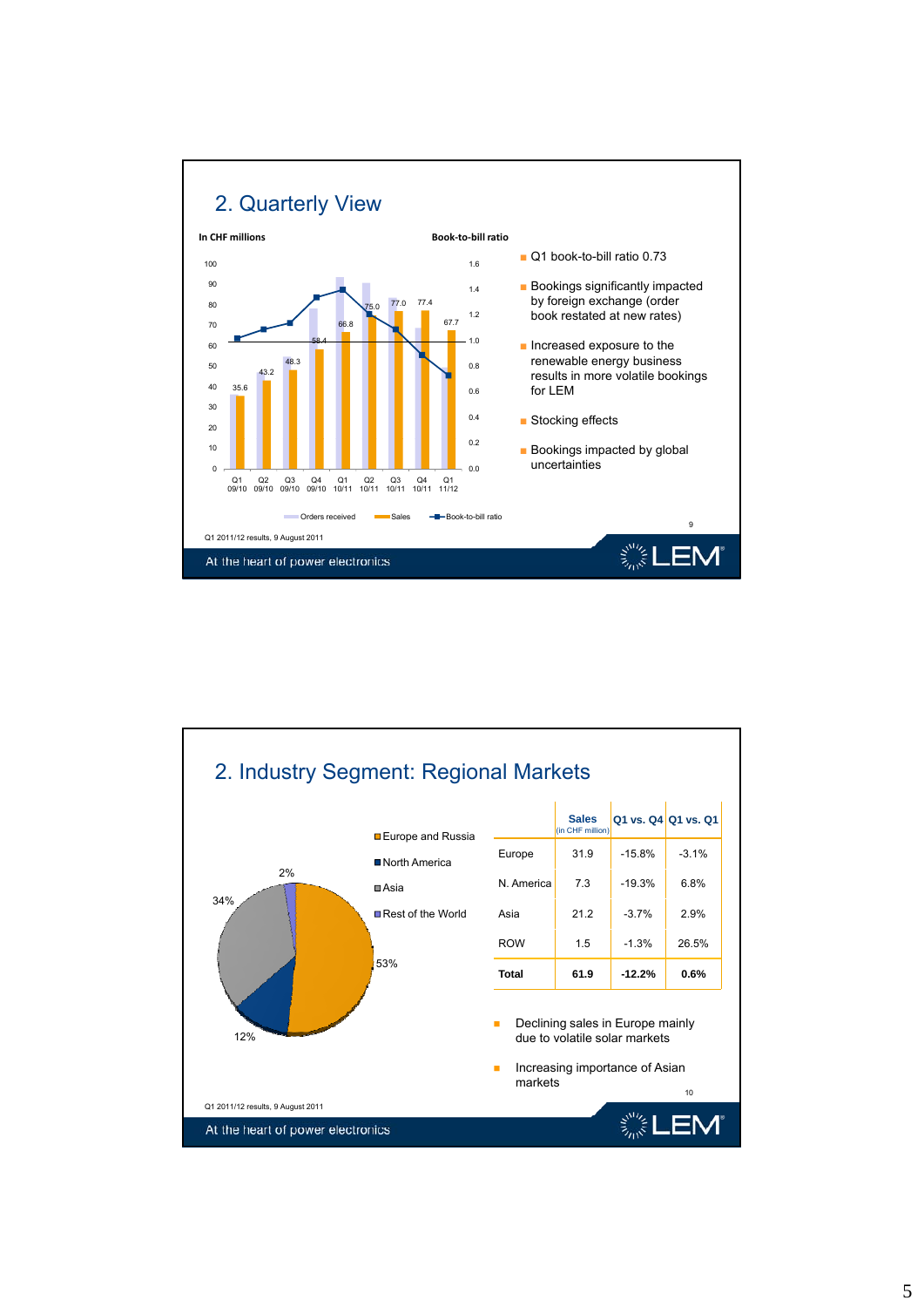

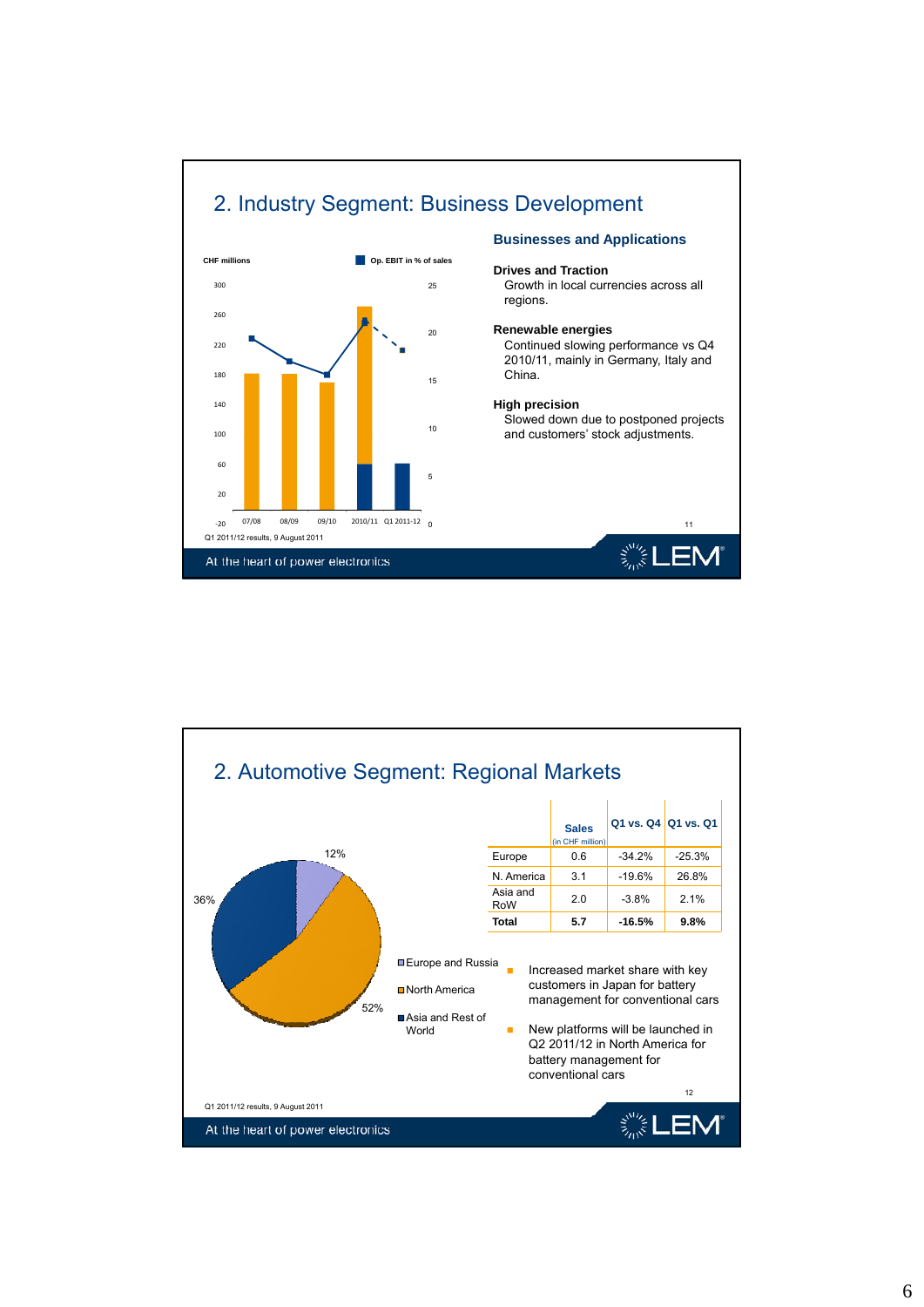



## 6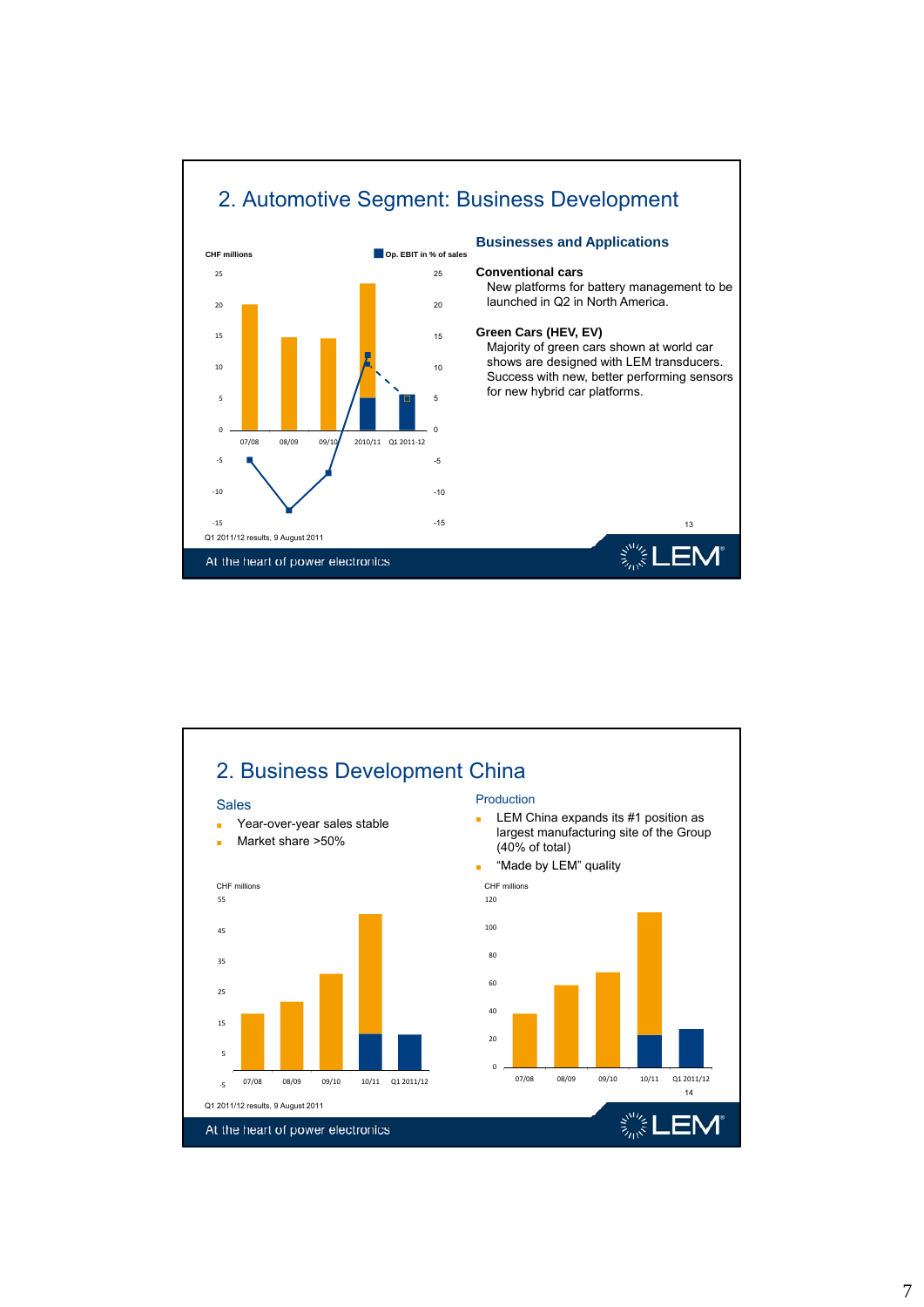

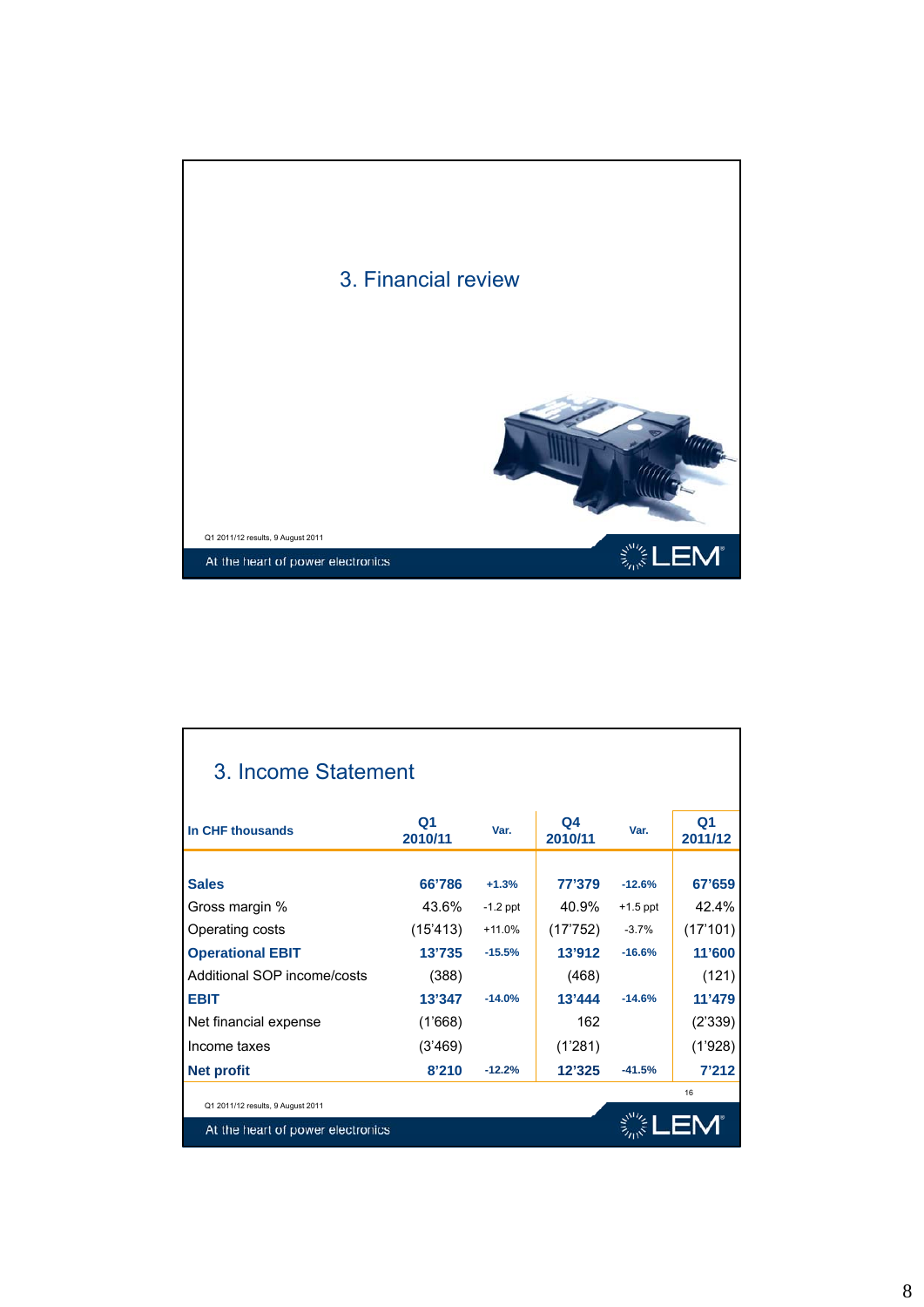

| 3. Income Statement                                                    |                           |            |                           |            |                           |
|------------------------------------------------------------------------|---------------------------|------------|---------------------------|------------|---------------------------|
| In CHF thousands                                                       | Q <sub>1</sub><br>2010/11 | Var.       | Q <sub>4</sub><br>2010/11 | Var.       | Q <sub>1</sub><br>2011/12 |
|                                                                        |                           |            |                           |            |                           |
| <b>Sales</b>                                                           | 66'786                    | $+1.3%$    | 77'379                    | $-12.6%$   | 67'659                    |
| Gross margin %                                                         | 43.6%                     | $-1.2$ ppt | 40.9%                     | $+1.5$ ppt | 42.4%                     |
| Operating costs                                                        | (15'413)                  | $+11.0%$   | (17'752)                  | $-3.7%$    | (17'101)                  |
| <b>Operational EBIT</b>                                                | 13'735                    | $-15.5%$   | 13'912                    | $-16.6%$   | 11'600                    |
| Additional SOP income/costs                                            | (388)                     |            | (468)                     |            | (121)                     |
| <b>EBIT</b>                                                            | 13'347                    | $-14.0%$   | 13'444                    | $-14.6%$   | 11'479                    |
| Net financial expense                                                  | (1'668)                   |            | 162                       |            | (2'339)                   |
| Income taxes                                                           | (3'469)                   |            | (1'281)                   |            | (1'928)                   |
| <b>Net profit</b>                                                      | 8'210                     | $-12.2%$   | 12'325                    | $-41.5%$   | 7'212                     |
|                                                                        |                           |            |                           |            | 16                        |
| Q1 2011/12 results, 9 August 2011<br>At the heart of power electronics |                           |            |                           |            |                           |

## 8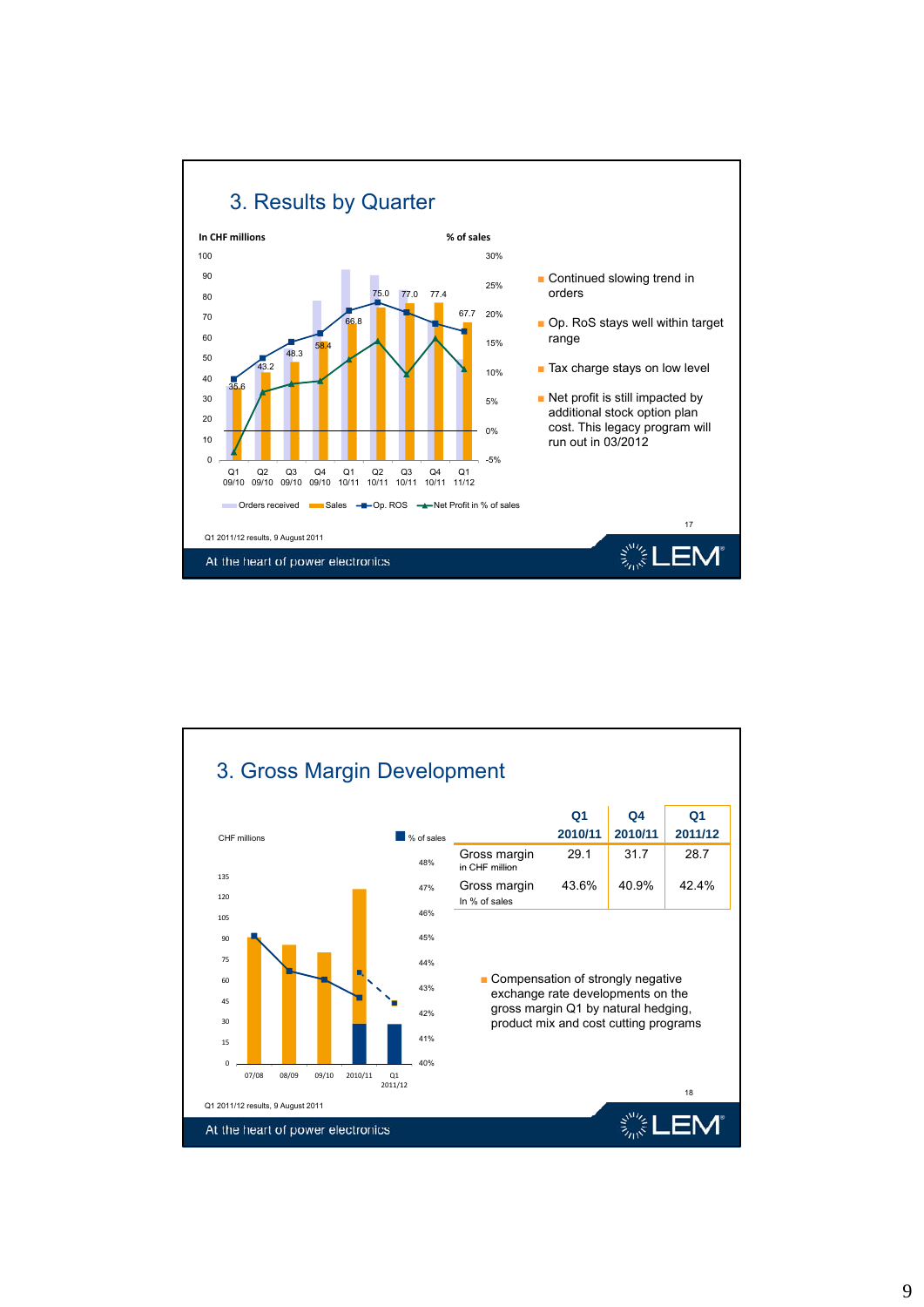

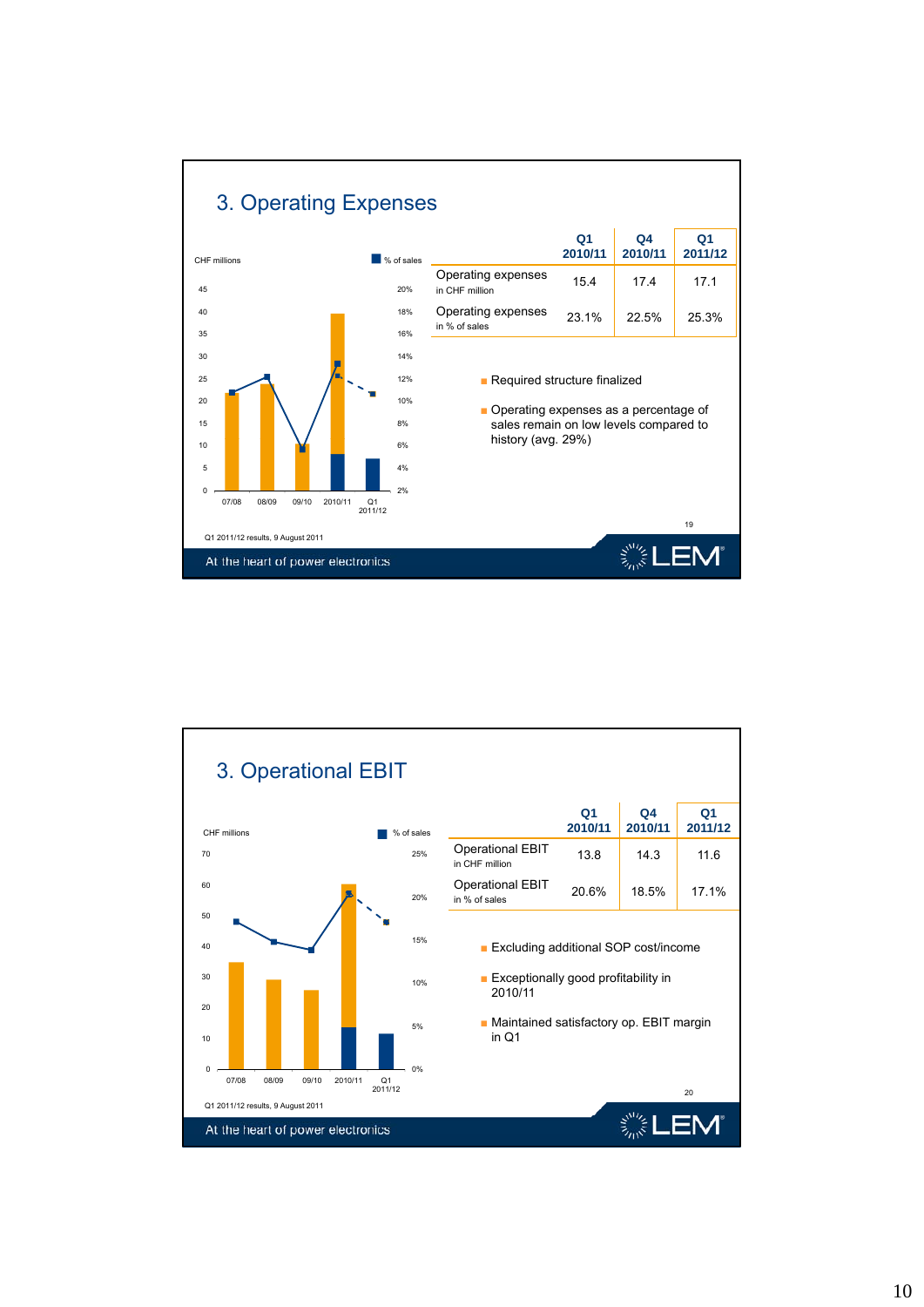

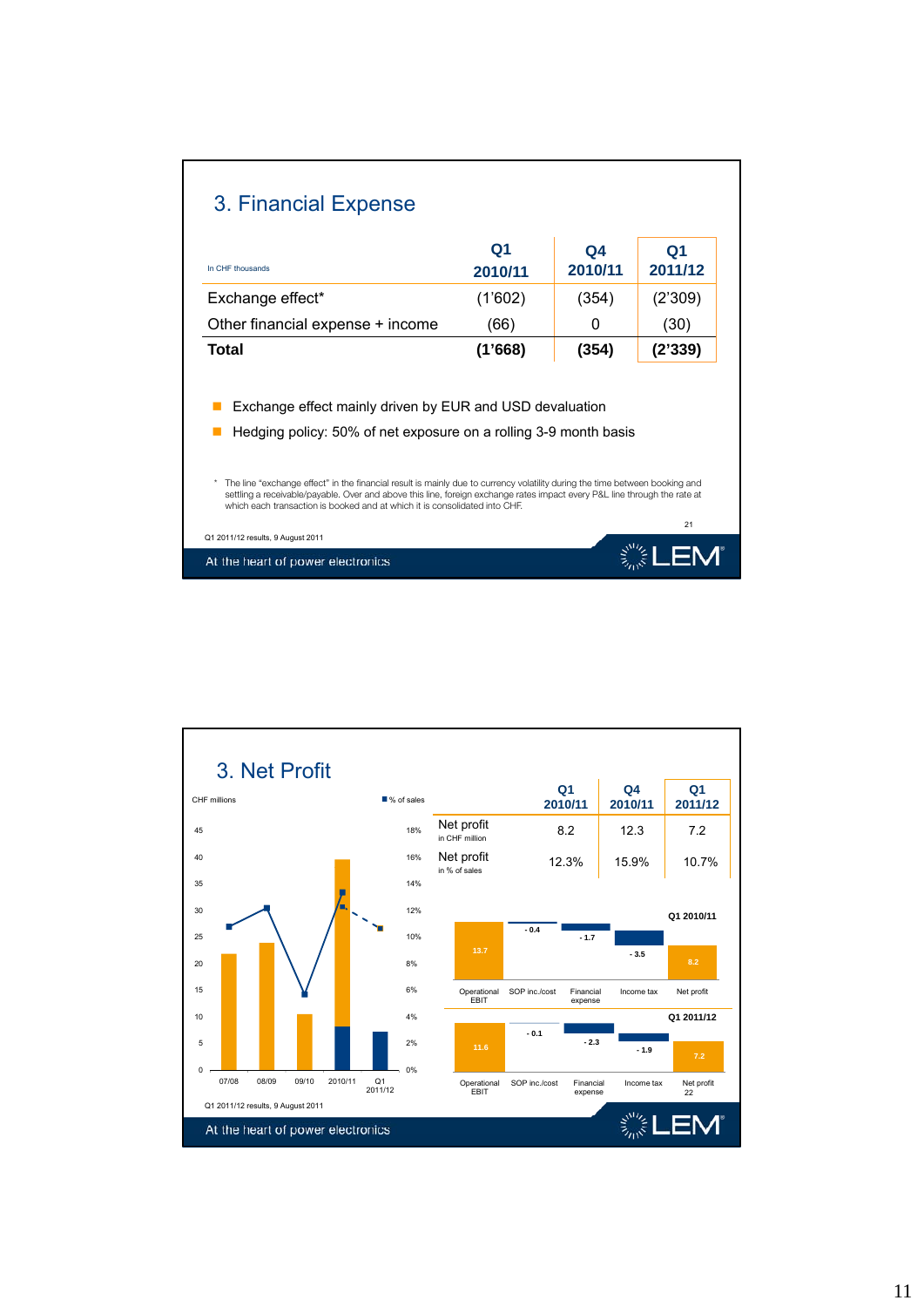| 3. Financial Expense                                                                                                                                                                                                                                                                                                                                                                     |                           |                           |               |  |  |  |
|------------------------------------------------------------------------------------------------------------------------------------------------------------------------------------------------------------------------------------------------------------------------------------------------------------------------------------------------------------------------------------------|---------------------------|---------------------------|---------------|--|--|--|
| In CHF thousands                                                                                                                                                                                                                                                                                                                                                                         | Q <sub>1</sub><br>2010/11 | Q <sub>4</sub><br>2010/11 | Q1<br>2011/12 |  |  |  |
| Exchange effect*                                                                                                                                                                                                                                                                                                                                                                         | (1'602)                   | (354)                     | (2'309)       |  |  |  |
| Other financial expense + income                                                                                                                                                                                                                                                                                                                                                         | (66)                      | 0                         | (30)          |  |  |  |
| Total                                                                                                                                                                                                                                                                                                                                                                                    | (1'668)                   | (354)                     | (2'339)       |  |  |  |
| Exchange effect mainly driven by EUR and USD devaluation<br>Hedging policy: 50% of net exposure on a rolling 3-9 month basis<br>The line "exchange effect" in the financial result is mainly due to currency volatility during the time between booking and<br>settling a receivable/payable. Over and above this line, foreign exchange rates impact every P&L line through the rate at |                           |                           |               |  |  |  |
| which each transaction is booked and at which it is consolidated into CHE.<br>Q1 2011/12 results, 9 August 2011<br>At the heart of power electronics                                                                                                                                                                                                                                     |                           |                           | 21            |  |  |  |

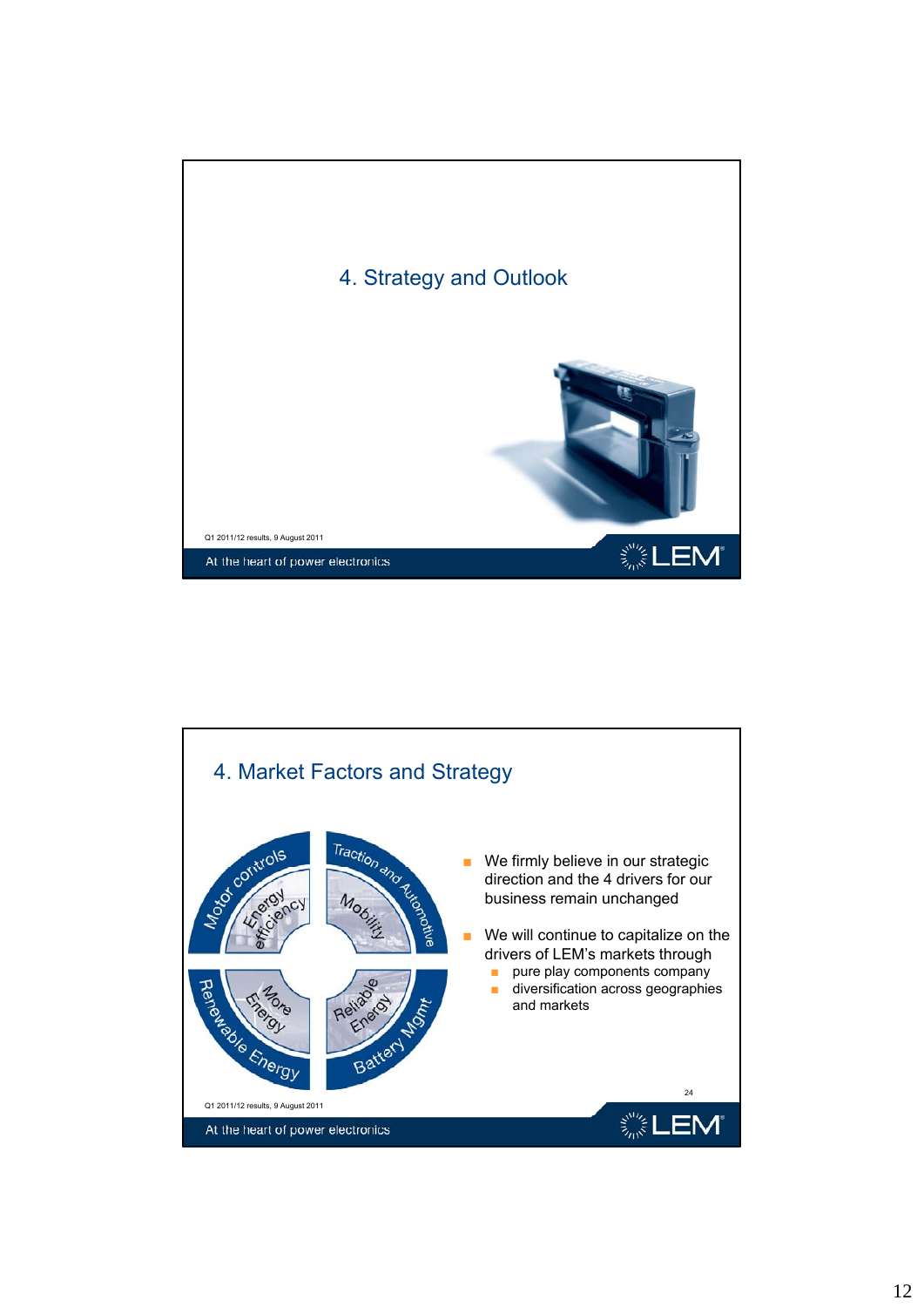